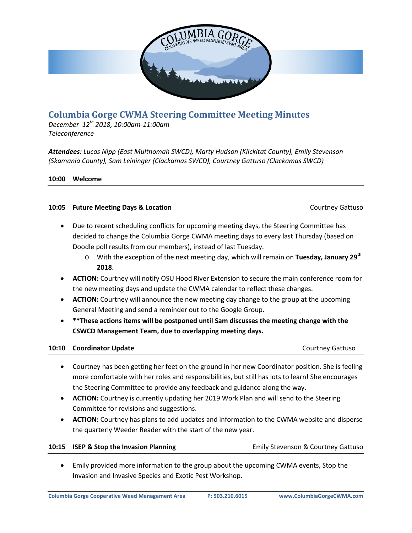

# **Columbia Gorge CWMA Steering Committee Meeting Minutes**

*December 12th 2018, 10:00am-11:00am Teleconference*

*Attendees: Lucas Nipp (East Multnomah SWCD), Marty Hudson (Klickitat County), Emily Stevenson (Skamania County), Sam Leininger (Clackamas SWCD), Courtney Gattuso (Clackamas SWCD)*

### **10:00 Welcome**

#### **10:05 Future Meeting Days & Location** Courtney Gattuso

- Due to recent scheduling conflicts for upcoming meeting days, the Steering Committee has decided to change the Columbia Gorge CWMA meeting days to every last Thursday (based on Doodle poll results from our members), instead of last Tuesday.
	- o With the exception of the next meeting day, which will remain on **Tuesday, January 29th 2018**.
- **ACTION:** Courtney will notify OSU Hood River Extension to secure the main conference room for the new meeting days and update the CWMA calendar to reflect these changes.
- **ACTION:** Courtney will announce the new meeting day change to the group at the upcoming General Meeting and send a reminder out to the Google Group.
- **\*\*These actions items will be postponed until Sam discusses the meeting change with the CSWCD Management Team, due to overlapping meeting days.**

### **10:10 Coordinator Update** Courtney Gattuso

- Courtney has been getting her feet on the ground in her new Coordinator position. She is feeling more comfortable with her roles and responsibilities, but still has lots to learn! She encourages the Steering Committee to provide any feedback and guidance along the way.
- **ACTION:** Courtney is currently updating her 2019 Work Plan and will send to the Steering Committee for revisions and suggestions.
- **ACTION:** Courtney has plans to add updates and information to the CWMA website and disperse the quarterly Weeder Reader with the start of the new year.

#### **10:15 ISEP & Stop the Invasion Planning <b>Emily Stevenson & Courtney Gattuso** Emily Stevenson & Courtney Gattuso

• Emily provided more information to the group about the upcoming CWMA events, Stop the Invasion and Invasive Species and Exotic Pest Workshop.